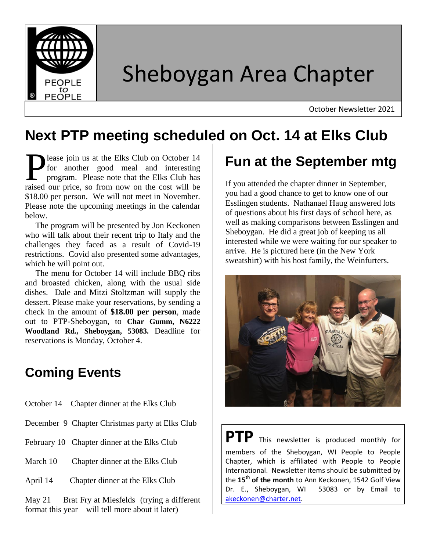

# Sheboygan Area Chapter

October Newsletter 2021

# **Next PTP meeting scheduled on Oct. 14 at Elks Club**

lease join us at the Elks Club on October 14 for another good meal and interesting program. Please note that the Elks Club has **P** lease join us at the Elks Club on October 14 for another good meal and interesting program. Please note that the Elks Club has raised our price, so from now on the cost will be \$18.00 per person. We will not meet in November. Please note the upcoming meetings in the calendar below.

 The program will be presented by Jon Keckonen who will talk about their recent trip to Italy and the challenges they faced as a result of Covid-19 restrictions. Covid also presented some advantages, which he will point out.

 The menu for October 14 will include BBQ ribs and broasted chicken, along with the usual side dishes. Dale and Mitzi Stoltzman will supply the dessert. Please make your reservations, by sending a check in the amount of **\$18.00 per person**, made out to PTP-Sheboygan, to **Char Gumm, N6222 Woodland Rd., Sheboygan, 53083.** Deadline for reservations is Monday, October 4.

#### **Coming Events**

- October 14 Chapter dinner at the Elks Club
- December 9 Chapter Christmas party at Elks Club
- February 10 Chapter dinner at the Elks Club
- March 10 Chapter dinner at the Elks Club
- April 14 Chapter dinner at the Elks Club

May 21 Brat Fry at Miesfelds (trying a different format this year – will tell more about it later)

# **Fun at the September mtg**

If you attended the chapter dinner in September, you had a good chance to get to know one of our Esslingen students. Nathanael Haug answered lots of questions about his first days of school here, as well as making comparisons between Esslingen and Sheboygan. He did a great job of keeping us all interested while we were waiting for our speaker to arrive. He is pictured here (in the New York sweatshirt) with his host family, the Weinfurters.



**PTP** This newsletter is produced monthly for members of the Sheboygan, WI People to People Chapter, which is affiliated with People to People International. Newsletter items should be submitted by the **15th of the month** to Ann Keckonen, 1542 Golf View Dr. E., Sheboygan, WI 53083 or by Email to [akeckonen@charter.net.](mailto:akeckonen@charter.net)